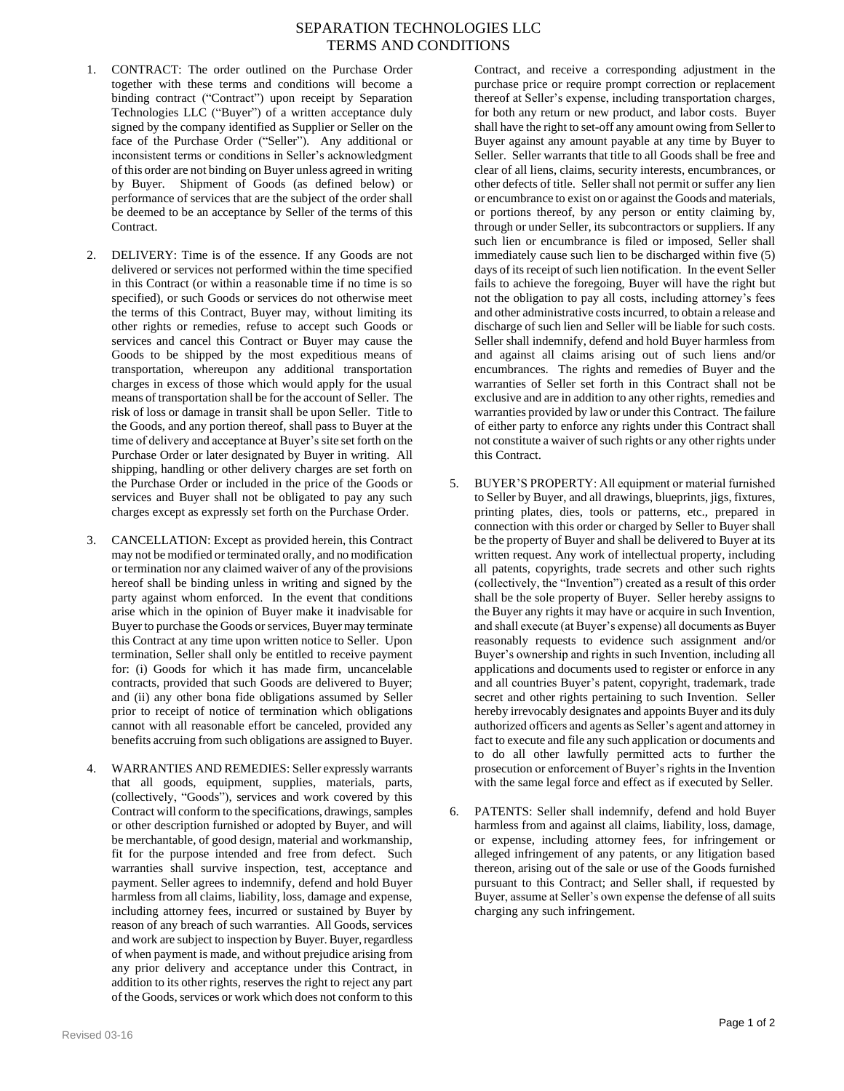## SEPARATION TECHNOLOGIES LLC TERMS AND CONDITIONS

- 1. CONTRACT: The order outlined on the Purchase Order together with these terms and conditions will become a binding contract ("Contract") upon receipt by Separation Technologies LLC ("Buyer") of a written acceptance duly signed by the company identified as Supplier or Seller on the face of the Purchase Order ("Seller"). Any additional or inconsistent terms or conditions in Seller's acknowledgment of this order are not binding on Buyer unless agreed in writing by Buyer. Shipment of Goods (as defined below) or performance of services that are the subject of the order shall be deemed to be an acceptance by Seller of the terms of this Contract.
- 2. DELIVERY: Time is of the essence. If any Goods are not delivered or services not performed within the time specified in this Contract (or within a reasonable time if no time is so specified), or such Goods or services do not otherwise meet the terms of this Contract, Buyer may, without limiting its other rights or remedies, refuse to accept such Goods or services and cancel this Contract or Buyer may cause the Goods to be shipped by the most expeditious means of transportation, whereupon any additional transportation charges in excess of those which would apply for the usual means of transportation shall be for the account of Seller. The risk of loss or damage in transit shall be upon Seller. Title to the Goods, and any portion thereof, shall pass to Buyer at the time of delivery and acceptance at Buyer's site set forth on the Purchase Order or later designated by Buyer in writing. All shipping, handling or other delivery charges are set forth on the Purchase Order or included in the price of the Goods or services and Buyer shall not be obligated to pay any such charges except as expressly set forth on the Purchase Order.
- 3. CANCELLATION: Except as provided herein, this Contract may not be modified or terminated orally, and no modification or termination nor any claimed waiver of any of the provisions hereof shall be binding unless in writing and signed by the party against whom enforced. In the event that conditions arise which in the opinion of Buyer make it inadvisable for Buyer to purchase the Goods or services, Buyer may terminate this Contract at any time upon written notice to Seller. Upon termination, Seller shall only be entitled to receive payment for: (i) Goods for which it has made firm, uncancelable contracts, provided that such Goods are delivered to Buyer; and (ii) any other bona fide obligations assumed by Seller prior to receipt of notice of termination which obligations cannot with all reasonable effort be canceled, provided any benefits accruing from such obligations are assigned to Buyer.
- 4. WARRANTIES AND REMEDIES: Seller expressly warrants that all goods, equipment, supplies, materials, parts, (collectively, "Goods"), services and work covered by this Contract will conform to the specifications, drawings, samples or other description furnished or adopted by Buyer, and will be merchantable, of good design, material and workmanship, fit for the purpose intended and free from defect. Such warranties shall survive inspection, test, acceptance and payment. Seller agrees to indemnify, defend and hold Buyer harmless from all claims, liability, loss, damage and expense, including attorney fees, incurred or sustained by Buyer by reason of any breach of such warranties. All Goods, services and work are subject to inspection by Buyer. Buyer, regardless of when payment is made, and without prejudice arising from any prior delivery and acceptance under this Contract, in addition to its other rights, reserves the right to reject any part of the Goods, services or work which does not conform to this

Contract, and receive a corresponding adjustment in the purchase price or require prompt correction or replacement thereof at Seller's expense, including transportation charges, for both any return or new product, and labor costs. Buyer shall have the right to set-off any amount owing from Seller to Buyer against any amount payable at any time by Buyer to Seller. Seller warrants that title to all Goods shall be free and clear of all liens, claims, security interests, encumbrances, or other defects of title. Seller shall not permit or suffer any lien or encumbrance to exist on or against the Goods and materials, or portions thereof, by any person or entity claiming by, through or under Seller, its subcontractors or suppliers. If any such lien or encumbrance is filed or imposed, Seller shall immediately cause such lien to be discharged within five (5) days of its receipt of such lien notification. In the event Seller fails to achieve the foregoing, Buyer will have the right but not the obligation to pay all costs, including attorney's fees and other administrative costs incurred, to obtain a release and discharge of such lien and Seller will be liable for such costs. Seller shall indemnify, defend and hold Buyer harmless from and against all claims arising out of such liens and/or encumbrances. The rights and remedies of Buyer and the warranties of Seller set forth in this Contract shall not be exclusive and are in addition to any other rights, remedies and warranties provided by law or under this Contract. The failure of either party to enforce any rights under this Contract shall not constitute a waiver of such rights or any other rights under this Contract.

- 5. BUYER'S PROPERTY: All equipment or material furnished to Seller by Buyer, and all drawings, blueprints, jigs, fixtures, printing plates, dies, tools or patterns, etc., prepared in connection with this order or charged by Seller to Buyer shall be the property of Buyer and shall be delivered to Buyer at its written request. Any work of intellectual property, including all patents, copyrights, trade secrets and other such rights (collectively, the "Invention") created as a result of this order shall be the sole property of Buyer. Seller hereby assigns to the Buyer any rights it may have or acquire in such Invention, and shall execute (at Buyer's expense) all documents as Buyer reasonably requests to evidence such assignment and/or Buyer's ownership and rights in such Invention, including all applications and documents used to register or enforce in any and all countries Buyer's patent, copyright, trademark, trade secret and other rights pertaining to such Invention. Seller hereby irrevocably designates and appoints Buyer and its duly authorized officers and agents as Seller's agent and attorney in fact to execute and file any such application or documents and to do all other lawfully permitted acts to further the prosecution or enforcement of Buyer's rights in the Invention with the same legal force and effect as if executed by Seller.
- 6. PATENTS: Seller shall indemnify, defend and hold Buyer harmless from and against all claims, liability, loss, damage, or expense, including attorney fees, for infringement or alleged infringement of any patents, or any litigation based thereon, arising out of the sale or use of the Goods furnished pursuant to this Contract; and Seller shall, if requested by Buyer, assume at Seller's own expense the defense of all suits charging any such infringement.